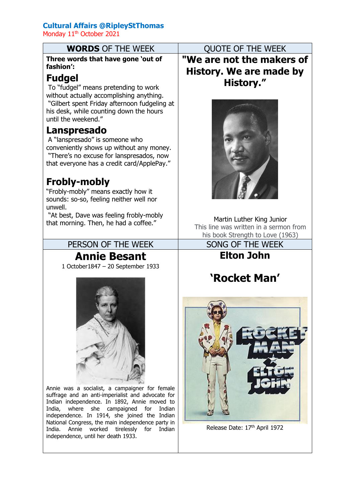## **Cultural Affairs @RipleyStThomas**

Monday 11<sup>th</sup> October 2021

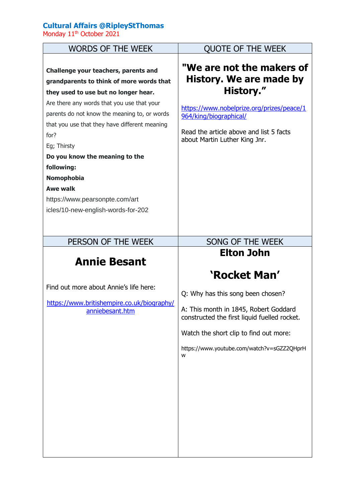## **Cultural Affairs @RipleyStThomas**

Monday 11<sup>th</sup> October 2021

| <b>WORDS OF THE WEEK</b>                                                                                                                                                                                                                                                                                                                                                                                                                                       | <b>QUOTE OF THE WEEK</b>                                                                                                                                                                                                                                     |
|----------------------------------------------------------------------------------------------------------------------------------------------------------------------------------------------------------------------------------------------------------------------------------------------------------------------------------------------------------------------------------------------------------------------------------------------------------------|--------------------------------------------------------------------------------------------------------------------------------------------------------------------------------------------------------------------------------------------------------------|
| Challenge your teachers, parents and<br>grandparents to think of more words that<br>they used to use but no longer hear.<br>Are there any words that you use that your<br>parents do not know the meaning to, or words<br>that you use that they have different meaning<br>for?<br>Eg; Thirsty<br>Do you know the meaning to the<br>following:<br><b>Nomophobia</b><br><b>Awe walk</b><br>https://www.pearsonpte.com/art<br>icles/10-new-english-words-for-202 | "We are not the makers of<br>History. We are made by<br>History."<br>https://www.nobelprize.org/prizes/peace/1<br>964/king/biographical/<br>Read the article above and list 5 facts<br>about Martin Luther King Jnr.                                         |
| PERSON OF THE WEEK                                                                                                                                                                                                                                                                                                                                                                                                                                             | SONG OF THE WEEK                                                                                                                                                                                                                                             |
| <b>Annie Besant</b><br>Find out more about Annie's life here:<br>https://www.britishempire.co.uk/biography/<br>anniebesant.htm                                                                                                                                                                                                                                                                                                                                 | <b>Elton John</b><br>'Rocket Man'<br>Q: Why has this song been chosen?<br>A: This month in 1845, Robert Goddard<br>constructed the first liquid fuelled rocket.<br>Watch the short clip to find out more:<br>https://www.youtube.com/watch?v=sGZZ2QHprH<br>w |